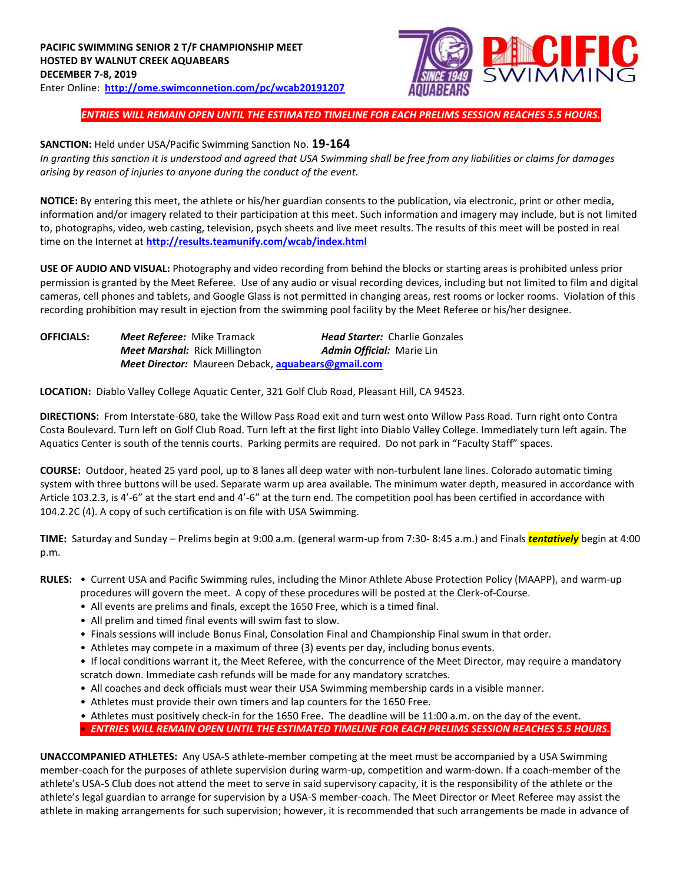

*ENTRIES WILL REMAIN OPEN UNTIL THE ESTIMATED TIMELINE FOR EACH PRELIMS SESSION REACHES 5.5 HOURS.*

## **SANCTION:** Held under USA/Pacific Swimming Sanction No. **19-164**

*In granting this sanction it is understood and agreed that USA Swimming shall be free from any liabilities or claims for damages arising by reason of injuries to anyone during the conduct of the event.* 

**NOTICE:** By entering this meet, the athlete or his/her guardian consents to the publication, via electronic, print or other media, information and/or imagery related to their participation at this meet. Such information and imagery may include, but is not limited to, photographs, video, web casting, television, psych sheets and live meet results. The results of this meet will be posted in real time on the Internet at **<http://results.teamunify.com/wcab/index.html>**

**USE OF AUDIO AND VISUAL:** Photography and video recording from behind the blocks or starting areas is prohibited unless prior permission is granted by the Meet Referee. Use of any audio or visual recording devices, including but not limited to film and digital cameras, cell phones and tablets, and Google Glass is not permitted in changing areas, rest rooms or locker rooms. Violation of this recording prohibition may result in ejection from the swimming pool facility by the Meet Referee or his/her designee.

| <b>OFFICIALS:</b> | <b>Meet Referee:</b> Mike Tramack                                | <b>Head Starter:</b> Charlie Gonzales |
|-------------------|------------------------------------------------------------------|---------------------------------------|
|                   | <b>Meet Marshal:</b> Rick Millington                             | <b>Admin Official: Marie Lin</b>      |
|                   | <b>Meet Director:</b> Maureen Deback, <b>aguabears@gmail.com</b> |                                       |

**LOCATION:** Diablo Valley College Aquatic Center, 321 Golf Club Road, Pleasant Hill, CA 94523.

**DIRECTIONS:** From Interstate‐680, take the Willow Pass Road exit and turn west onto Willow Pass Road. Turn right onto Contra Costa Boulevard. Turn left on Golf Club Road. Turn left at the first light into Diablo Valley College. Immediately turn left again. The Aquatics Center is south of the tennis courts. Parking permits are required. Do not park in "Faculty Staff" spaces.

**COURSE:** Outdoor, heated 25 yard pool, up to 8 lanes all deep water with non‐turbulent lane lines. Colorado automatic timing system with three buttons will be used. Separate warm up area available. The minimum water depth, measured in accordance with Article 103.2.3, is 4'‐6" at the start end and 4'‐6" at the turn end. The competition pool has been certified in accordance with 104.2.2C (4). A copy of such certification is on file with USA Swimming.

**TIME:** Saturday and Sunday – Prelims begin at 9:00 a.m. (general warm-up from 7:30- 8:45 a.m.) and Finals *tentatively* begin at 4:00 p.m.

- **RULES:**  Current USA and Pacific Swimming rules, including the Minor Athlete Abuse Protection Policy (MAAPP), and warm-up procedures will govern the meet. A copy of these procedures will be posted at the Clerk-of-Course.
	- All events are prelims and finals, except the 1650 Free, which is a timed final.
	- All prelim and timed final events will swim fast to slow.
	- Finals sessions will include Bonus Final, Consolation Final and Championship Final swum in that order.
	- Athletes may compete in a maximum of three (3) events per day, including bonus events.

• If local conditions warrant it, the Meet Referee, with the concurrence of the Meet Director, may require a mandatory scratch down. Immediate cash refunds will be made for any mandatory scratches.

- All coaches and deck officials must wear their USA Swimming membership cards in a visible manner.
- Athletes must provide their own timers and lap counters for the 1650 Free.
- Athletes must positively check-in for the 1650 Free. The deadline will be 11:00 a.m. on the day of the event. • *ENTRIES WILL REMAIN OPEN UNTIL THE ESTIMATED TIMELINE FOR EACH PRELIMS SESSION REACHES 5.5 HOURS.*

**UNACCOMPANIED ATHLETES:** Any USA-S athlete-member competing at the meet must be accompanied by a USA Swimming member-coach for the purposes of athlete supervision during warm-up, competition and warm-down. If a coach-member of the athlete's USA-S Club does not attend the meet to serve in said supervisory capacity, it is the responsibility of the athlete or the athlete's legal guardian to arrange for supervision by a USA-S member-coach. The Meet Director or Meet Referee may assist the athlete in making arrangements for such supervision; however, it is recommended that such arrangements be made in advance of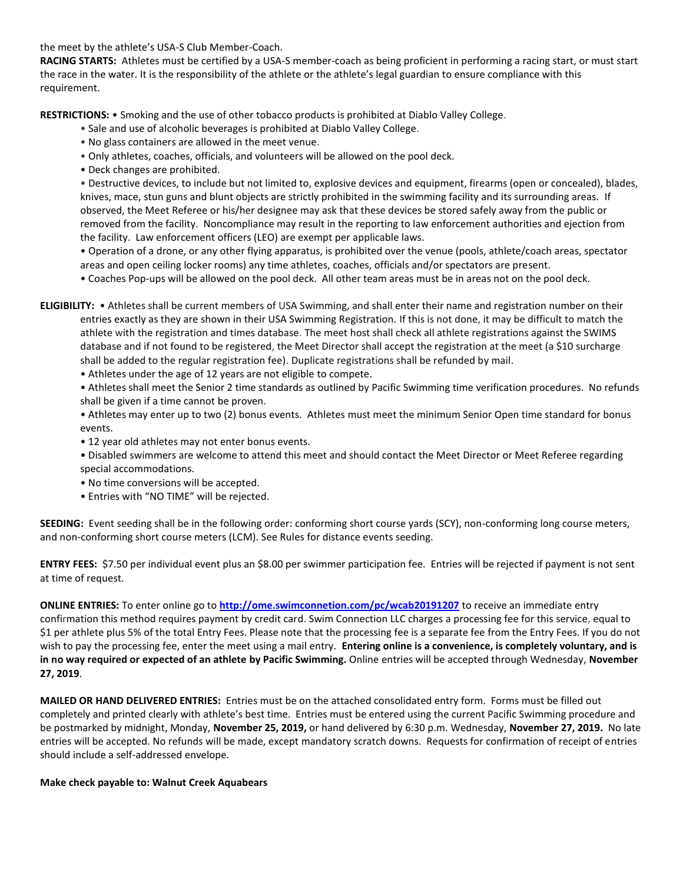the meet by the athlete's USA-S Club Member-Coach.

**RACING STARTS:** Athletes must be certified by a USA-S member-coach as being proficient in performing a racing start, or must start the race in the water. It is the responsibility of the athlete or the athlete's legal guardian to ensure compliance with this requirement.

**RESTRICTIONS:** • Smoking and the use of other tobacco products is prohibited at Diablo Valley College.

- Sale and use of alcoholic beverages is prohibited at Diablo Valley College.
- No glass containers are allowed in the meet venue.
- Only athletes, coaches, officials, and volunteers will be allowed on the pool deck.
- Deck changes are prohibited.

• Destructive devices, to include but not limited to, explosive devices and equipment, firearms (open or concealed), blades, knives, mace, stun guns and blunt objects are strictly prohibited in the swimming facility and its surrounding areas. If observed, the Meet Referee or his/her designee may ask that these devices be stored safely away from the public or removed from the facility. Noncompliance may result in the reporting to law enforcement authorities and ejection from the facility. Law enforcement officers (LEO) are exempt per applicable laws.

• Operation of a drone, or any other flying apparatus, is prohibited over the venue (pools, athlete/coach areas, spectator areas and open ceiling locker rooms) any time athletes, coaches, officials and/or spectators are present.

• Coaches Pop-ups will be allowed on the pool deck. All other team areas must be in areas not on the pool deck.

**ELIGIBILITY:** • Athletes shall be current members of USA Swimming, and shall enter their name and registration number on their entries exactly as they are shown in their USA Swimming Registration. If this is not done, it may be difficult to match the athlete with the registration and times database. The meet host shall check all athlete registrations against the SWIMS database and if not found to be registered, the Meet Director shall accept the registration at the meet (a \$10 surcharge shall be added to the regular registration fee). Duplicate registrations shall be refunded by mail.

• Athletes under the age of 12 years are not eligible to compete.

• Athletes shall meet the Senior 2 time standards as outlined by Pacific Swimming time verification procedures. No refunds shall be given if a time cannot be proven.

• Athletes may enter up to two (2) bonus events. Athletes must meet the minimum Senior Open time standard for bonus events.

• 12 year old athletes may not enter bonus events.

• Disabled swimmers are welcome to attend this meet and should contact the Meet Director or Meet Referee regarding special accommodations.

- No time conversions will be accepted.
- Entries with "NO TIME" will be rejected.

**SEEDING:** Event seeding shall be in the following order: conforming short course yards (SCY), non-conforming long course meters, and non-conforming short course meters (LCM). See Rules for distance events seeding.

**ENTRY FEES:** \$7.50 per individual event plus an \$8.00 per swimmer participation fee. Entries will be rejected if payment is not sent at time of request.

**ONLINE ENTRIES:** To enter online go to **<http://ome.swimconnetion.com/pc/wcab20191207>** to receive an immediate entry confirmation this method requires payment by credit card. Swim Connection LLC charges a processing fee for this service, equal to \$1 per athlete plus 5% of the total Entry Fees. Please note that the processing fee is a separate fee from the Entry Fees. If you do not wish to pay the processing fee, enter the meet using a mail entry. **Entering online is a convenience, is completely voluntary, and is in no way required or expected of an athlete by Pacific Swimming.** Online entries will be accepted through Wednesday, **November 27, 2019**.

**MAILED OR HAND DELIVERED ENTRIES:** Entries must be on the attached consolidated entry form. Forms must be filled out completely and printed clearly with athlete's best time. Entries must be entered using the current Pacific Swimming procedure and be postmarked by midnight, Monday, **November 25, 2019,** or hand delivered by 6:30 p.m. Wednesday, **November 27, 2019.** No late entries will be accepted. No refunds will be made, except mandatory scratch downs. Requests for confirmation of receipt of entries should include a self-addressed envelope.

## **Make check payable to: Walnut Creek Aquabears**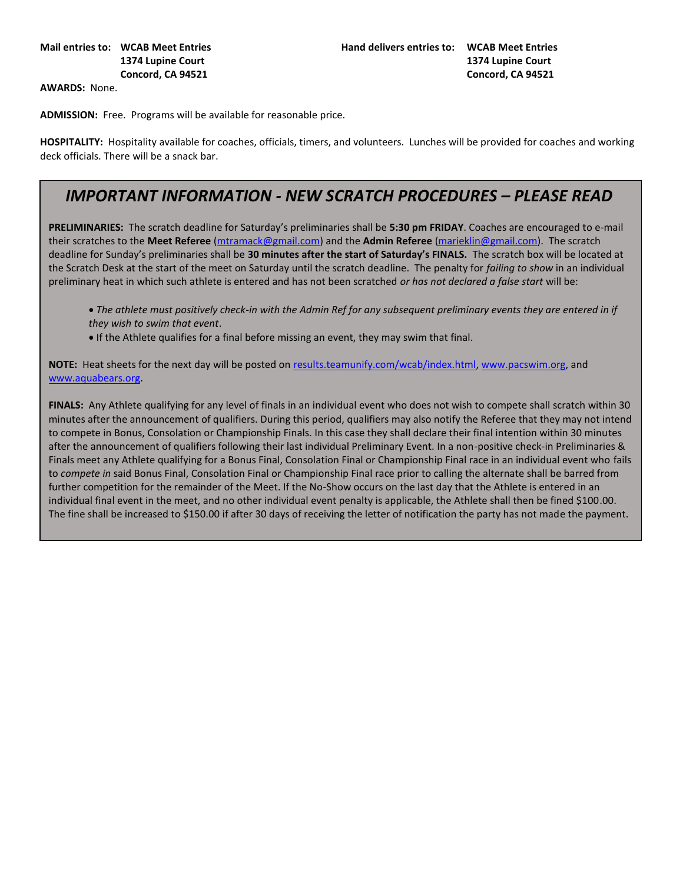**AWARDS:** None.

**ADMISSION:** Free. Programs will be available for reasonable price.

**HOSPITALITY:** Hospitality available for coaches, officials, timers, and volunteers. Lunches will be provided for coaches and working deck officials. There will be a snack bar.

## *IMPORTANT INFORMATION - NEW SCRATCH PROCEDURES – PLEASE READ*

**PRELIMINARIES:** The scratch deadline for Saturday's preliminaries shall be **5:30 pm FRIDAY**. Coaches are encouraged to e-mail their scratches to the **Meet Referee** [\(mtramack@gmail.com\)](mailto:mtramack@gmail.com?subject=Meet%20Scratches) and the **Admin Referee** [\(marieklin@gmail.com\)](mailto:marieklin@gmail.com). The scratch deadline for Sunday's preliminaries shall be **30 minutes after the start of Saturday's FINALS.** The scratch box will be located at the Scratch Desk at the start of the meet on Saturday until the scratch deadline. The penalty for *failing to show* in an individual preliminary heat in which such athlete is entered and has not been scratched *or has not declared a false start* will be:

• The athlete must positively check-in with the Admin Ref for any subsequent preliminary events they are entered in if *they wish to swim that event*.

• If the Athlete qualifies for a final before missing an event, they may swim that final.

**NOTE:** Heat sheets for the next day will be posted on [results.teamunify.com/wcab/index.html,](http://results.teamunify.com/wcab/index.html) [www.pacswim.org,](http://www.pacswim.org/) and [www.aquabears.org.](http://www.aquabears.org/)

**FINALS:** Any Athlete qualifying for any level of finals in an individual event who does not wish to compete shall scratch within 30 minutes after the announcement of qualifiers. During this period, qualifiers may also notify the Referee that they may not intend to compete in Bonus, Consolation or Championship Finals. In this case they shall declare their final intention within 30 minutes after the announcement of qualifiers following their last individual Preliminary Event. In a non-positive check-in Preliminaries & Finals meet any Athlete qualifying for a Bonus Final, Consolation Final or Championship Final race in an individual event who fails to *compete in* said Bonus Final, Consolation Final or Championship Final race prior to calling the alternate shall be barred from further competition for the remainder of the Meet. If the No-Show occurs on the last day that the Athlete is entered in an individual final event in the meet, and no other individual event penalty is applicable, the Athlete shall then be fined \$100.00. The fine shall be increased to \$150.00 if after 30 days of receiving the letter of notification the party has not made the payment.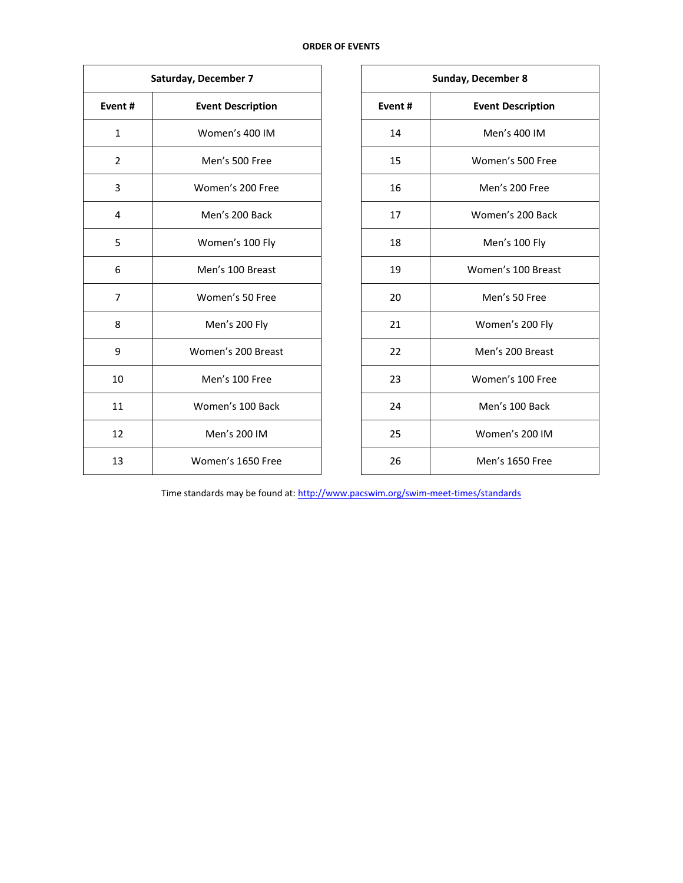| Saturday, December 7 |                          |                                    | <b>Sunday, December 8</b> |  |  |
|----------------------|--------------------------|------------------------------------|---------------------------|--|--|
| Event#               | <b>Event Description</b> | Event#<br><b>Event Description</b> |                           |  |  |
| $\mathbf{1}$         | Women's 400 IM           | 14                                 | Men's 400 IM              |  |  |
| $\overline{2}$       | Men's 500 Free           | 15                                 | Women's 500 Free          |  |  |
| 3                    | Women's 200 Free         | 16                                 | Men's 200 Free            |  |  |
| 4                    | Men's 200 Back           | 17                                 | Women's 200 Back          |  |  |
| 5                    | Women's 100 Fly          | 18                                 | Men's 100 Fly             |  |  |
| 6                    | Men's 100 Breast         | 19                                 | Women's 100 Breast        |  |  |
| $\overline{7}$       | Women's 50 Free          | 20                                 | Men's 50 Free             |  |  |
| 8                    | Men's 200 Fly            | 21                                 | Women's 200 Fly           |  |  |
| 9                    | Women's 200 Breast       | 22                                 | Men's 200 Breast          |  |  |
| 10                   | Men's 100 Free           | 23                                 | Women's 100 Free          |  |  |
| 11                   | Women's 100 Back         | 24                                 | Men's 100 Back            |  |  |
| 12                   | Men's 200 IM             | 25                                 | Women's 200 IM            |  |  |
| 13                   | Women's 1650 Free        | 26                                 | Men's 1650 Free           |  |  |

| <b>Sunday, December 8</b> |                          |  |  |  |  |
|---------------------------|--------------------------|--|--|--|--|
| Event#                    | <b>Event Description</b> |  |  |  |  |
| 14                        | Men's 400 IM             |  |  |  |  |
| 15                        | Women's 500 Free         |  |  |  |  |
| 16                        | Men's 200 Free           |  |  |  |  |
| 17                        | Women's 200 Back         |  |  |  |  |
| 18                        | Men's 100 Fly            |  |  |  |  |
| 19                        | Women's 100 Breast       |  |  |  |  |
| 20                        | Men's 50 Free            |  |  |  |  |
| 21                        | Women's 200 Fly          |  |  |  |  |
| 22                        | Men's 200 Breast         |  |  |  |  |
| 23                        | Women's 100 Free         |  |  |  |  |
| 24                        | Men's 100 Back           |  |  |  |  |
| 25                        | Women's 200 IM           |  |  |  |  |
| 26                        | <b>Men's 1650 Free</b>   |  |  |  |  |

Time standards may be found at[: http://www.pacswim.org/swim-meet-times/standards](http://www.pacswim.org/swim-meet-times/standards)